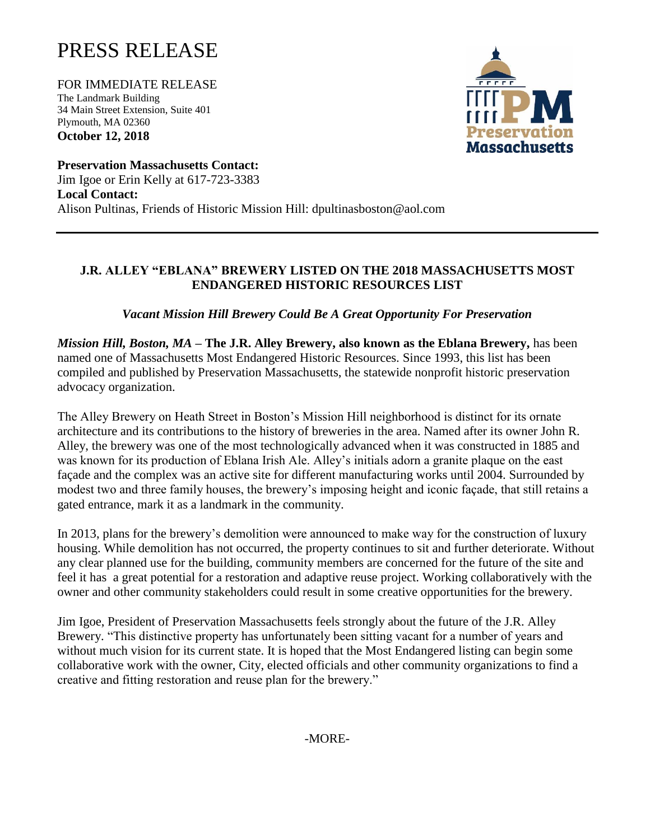## PRESS RELEASE

FOR IMMEDIATE RELEASE The Landmark Building 34 Main Street Extension, Suite 401 Plymouth, MA 02360 **October 12, 2018**



**Preservation Massachusetts Contact:**  Jim Igoe or Erin Kelly at 617-723-3383 **Local Contact:** Alison Pultinas, Friends of Historic Mission Hill: dpultinasboston@aol.com

## **J.R. ALLEY "EBLANA" BREWERY LISTED ON THE 2018 MASSACHUSETTS MOST ENDANGERED HISTORIC RESOURCES LIST**

*Vacant Mission Hill Brewery Could Be A Great Opportunity For Preservation*

*Mission Hill, Boston, MA* **– The J.R. Alley Brewery, also known as the Eblana Brewery,** has been named one of Massachusetts Most Endangered Historic Resources. Since 1993, this list has been compiled and published by Preservation Massachusetts, the statewide nonprofit historic preservation advocacy organization.

The Alley Brewery on Heath Street in Boston's Mission Hill neighborhood is distinct for its ornate architecture and its contributions to the history of breweries in the area. Named after its owner John R. Alley, the brewery was one of the most technologically advanced when it was constructed in 1885 and was known for its production of Eblana Irish Ale. Alley's initials adorn a granite plaque on the east façade and the complex was an active site for different manufacturing works until 2004. Surrounded by modest two and three family houses, the brewery's imposing height and iconic façade, that still retains a gated entrance, mark it as a landmark in the community.

In 2013, plans for the brewery's demolition were announced to make way for the construction of luxury housing. While demolition has not occurred, the property continues to sit and further deteriorate. Without any clear planned use for the building, community members are concerned for the future of the site and feel it has a great potential for a restoration and adaptive reuse project. Working collaboratively with the owner and other community stakeholders could result in some creative opportunities for the brewery.

Jim Igoe, President of Preservation Massachusetts feels strongly about the future of the J.R. Alley Brewery. "This distinctive property has unfortunately been sitting vacant for a number of years and without much vision for its current state. It is hoped that the Most Endangered listing can begin some collaborative work with the owner, City, elected officials and other community organizations to find a creative and fitting restoration and reuse plan for the brewery."

-MORE-